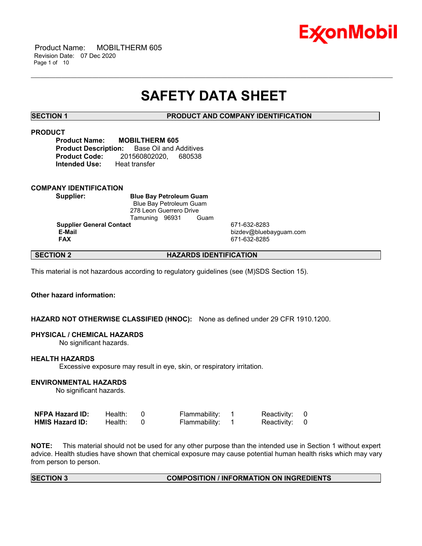

 Product Name: MOBILTHERM 605 Revision Date: 07 Dec 2020 Page 1 of 10

## **SAFETY DATA SHEET**

\_\_\_\_\_\_\_\_\_\_\_\_\_\_\_\_\_\_\_\_\_\_\_\_\_\_\_\_\_\_\_\_\_\_\_\_\_\_\_\_\_\_\_\_\_\_\_\_\_\_\_\_\_\_\_\_\_\_\_\_\_\_\_\_\_\_\_\_\_\_\_\_\_\_\_\_\_\_\_\_\_\_\_\_\_\_\_\_\_\_\_\_\_\_\_\_\_\_\_\_\_\_\_\_\_\_\_\_\_\_\_\_\_\_\_\_\_\_

**SECTION 1 PRODUCT AND COMPANY IDENTIFICATION**

### **PRODUCT**

**Product Name: MOBILTHERM 605 Product Description:** Base Oil and Additives **Product Code:** 201560802020, 680538 **Intended Use:** Heat transfer

### **COMPANY IDENTIFICATION**

**Supplier: Blue Bay Petroleum Guam** Blue Bay Petroleum Guam 278 Leon Guerrero Drive Tamuning 96931 Guam

**Supplier General Contact** 671-632-8283<br> **E-Mail** bizdev@blueb

 **E-Mail** bizdev@bluebayguam.com  **FAX** 671-632-8285

### **SECTION 2 HAZARDS IDENTIFICATION**

This material is not hazardous according to regulatory guidelines (see (M)SDS Section 15).

### **Other hazard information:**

#### **HAZARD NOT OTHERWISE CLASSIFIED (HNOC):** None as defined under 29 CFR 1910.1200.

#### **PHYSICAL / CHEMICAL HAZARDS**

No significant hazards.

#### **HEALTH HAZARDS**

Excessive exposure may result in eye, skin, or respiratory irritation.

#### **ENVIRONMENTAL HAZARDS**

No significant hazards.

| <b>NFPA Hazard ID:</b> | Health: | Flammability: | Reactivity: 0 |  |
|------------------------|---------|---------------|---------------|--|
| <b>HMIS Hazard ID:</b> | Health: | Flammability: | Reactivity: 0 |  |

**NOTE:** This material should not be used for any other purpose than the intended use in Section 1 without expert advice. Health studies have shown that chemical exposure may cause potential human health risks which may vary from person to person.

#### **SECTION 3 COMPOSITION / INFORMATION ON INGREDIENTS**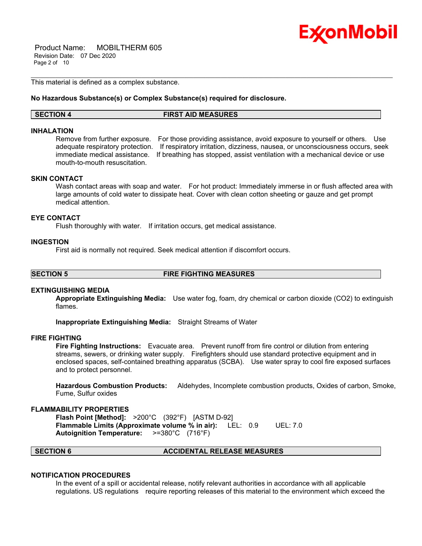

 Product Name: MOBILTHERM 605 Revision Date: 07 Dec 2020 Page 2 of 10

This material is defined as a complex substance.

#### **No Hazardous Substance(s) or Complex Substance(s) required for disclosure.**

#### **SECTION 4 FIRST AID MEASURES**

\_\_\_\_\_\_\_\_\_\_\_\_\_\_\_\_\_\_\_\_\_\_\_\_\_\_\_\_\_\_\_\_\_\_\_\_\_\_\_\_\_\_\_\_\_\_\_\_\_\_\_\_\_\_\_\_\_\_\_\_\_\_\_\_\_\_\_\_\_\_\_\_\_\_\_\_\_\_\_\_\_\_\_\_\_\_\_\_\_\_\_\_\_\_\_\_\_\_\_\_\_\_\_\_\_\_\_\_\_\_\_\_\_\_\_\_\_\_

#### **INHALATION**

Remove from further exposure. For those providing assistance, avoid exposure to yourself or others. Use adequate respiratory protection. If respiratory irritation, dizziness, nausea, or unconsciousness occurs, seek immediate medical assistance. If breathing has stopped, assist ventilation with a mechanical device or use mouth-to-mouth resuscitation.

### **SKIN CONTACT**

Wash contact areas with soap and water. For hot product: Immediately immerse in or flush affected area with large amounts of cold water to dissipate heat. Cover with clean cotton sheeting or gauze and get prompt medical attention.

#### **EYE CONTACT**

Flush thoroughly with water. If irritation occurs, get medical assistance.

#### **INGESTION**

First aid is normally not required. Seek medical attention if discomfort occurs.

**SECTION 5 FIRE FIGHTING MEASURES** 

#### **EXTINGUISHING MEDIA**

**Appropriate Extinguishing Media:** Use water fog, foam, dry chemical or carbon dioxide (CO2) to extinguish flames.

**Inappropriate Extinguishing Media:** Straight Streams of Water

#### **FIRE FIGHTING**

**Fire Fighting Instructions:** Evacuate area. Prevent runoff from fire control or dilution from entering streams, sewers, or drinking water supply. Firefighters should use standard protective equipment and in enclosed spaces, self-contained breathing apparatus (SCBA). Use water spray to cool fire exposed surfaces and to protect personnel.

**Hazardous Combustion Products:** Aldehydes, Incomplete combustion products, Oxides of carbon, Smoke, Fume, Sulfur oxides

#### **FLAMMABILITY PROPERTIES**

**Flash Point [Method]:** >200°C (392°F) [ASTM D-92] **Flammable Limits (Approximate volume % in air):** LEL: 0.9 UEL: 7.0 **Autoignition Temperature:** >=380°C (716°F)

### **SECTION 6 ACCIDENTAL RELEASE MEASURES**

#### **NOTIFICATION PROCEDURES**

In the event of a spill or accidental release, notify relevant authorities in accordance with all applicable regulations. US regulations require reporting releases of this material to the environment which exceed the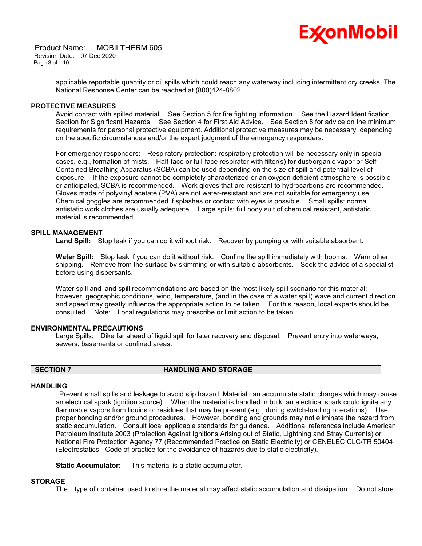# Ex⁄onMobil

 Product Name: MOBILTHERM 605 Revision Date: 07 Dec 2020 Page 3 of 10

\_\_\_\_\_\_\_\_\_\_\_\_\_\_\_\_\_\_\_\_\_\_\_\_\_\_\_\_\_\_\_\_\_\_\_\_\_\_\_\_\_\_\_\_\_\_\_\_\_\_\_\_\_\_\_\_\_\_\_\_\_\_\_\_\_\_\_\_\_\_\_\_\_\_\_\_\_\_\_\_\_\_\_\_\_\_\_\_\_\_\_\_\_\_\_\_\_\_\_\_\_\_\_\_\_\_\_\_\_\_\_\_\_\_\_\_\_\_ applicable reportable quantity or oil spills which could reach any waterway including intermittent dry creeks. The National Response Center can be reached at (800)424-8802.

#### **PROTECTIVE MEASURES**

Avoid contact with spilled material. See Section 5 for fire fighting information. See the Hazard Identification Section for Significant Hazards. See Section 4 for First Aid Advice. See Section 8 for advice on the minimum requirements for personal protective equipment. Additional protective measures may be necessary, depending on the specific circumstances and/or the expert judgment of the emergency responders.

For emergency responders: Respiratory protection: respiratory protection will be necessary only in special cases, e.g., formation of mists. Half-face or full-face respirator with filter(s) for dust/organic vapor or Self Contained Breathing Apparatus (SCBA) can be used depending on the size of spill and potential level of exposure. If the exposure cannot be completely characterized or an oxygen deficient atmosphere is possible or anticipated, SCBA is recommended. Work gloves that are resistant to hydrocarbons are recommended. Gloves made of polyvinyl acetate (PVA) are not water-resistant and are not suitable for emergency use. Chemical goggles are recommended if splashes or contact with eyes is possible. Small spills: normal antistatic work clothes are usually adequate. Large spills: full body suit of chemical resistant, antistatic material is recommended.

#### **SPILL MANAGEMENT**

Land Spill: Stop leak if you can do it without risk. Recover by pumping or with suitable absorbent.

**Water Spill:** Stop leak if you can do it without risk. Confine the spill immediately with booms. Warn other shipping. Remove from the surface by skimming or with suitable absorbents. Seek the advice of a specialist before using dispersants.

Water spill and land spill recommendations are based on the most likely spill scenario for this material; however, geographic conditions, wind, temperature, (and in the case of a water spill) wave and current direction and speed may greatly influence the appropriate action to be taken. For this reason, local experts should be consulted. Note: Local regulations may prescribe or limit action to be taken.

#### **ENVIRONMENTAL PRECAUTIONS**

Large Spills: Dike far ahead of liquid spill for later recovery and disposal. Prevent entry into waterways, sewers, basements or confined areas.

#### **SECTION 7 HANDLING AND STORAGE**

### **HANDLING**

 Prevent small spills and leakage to avoid slip hazard. Material can accumulate static charges which may cause an electrical spark (ignition source). When the material is handled in bulk, an electrical spark could ignite any flammable vapors from liquids or residues that may be present (e.g., during switch-loading operations). Use proper bonding and/or ground procedures. However, bonding and grounds may not eliminate the hazard from static accumulation. Consult local applicable standards for guidance. Additional references include American Petroleum Institute 2003 (Protection Against Ignitions Arising out of Static, Lightning and Stray Currents) or National Fire Protection Agency 77 (Recommended Practice on Static Electricity) or CENELEC CLC/TR 50404 (Electrostatics - Code of practice for the avoidance of hazards due to static electricity).

**Static Accumulator:** This material is a static accumulator.

### **STORAGE**

The type of container used to store the material may affect static accumulation and dissipation. Do not store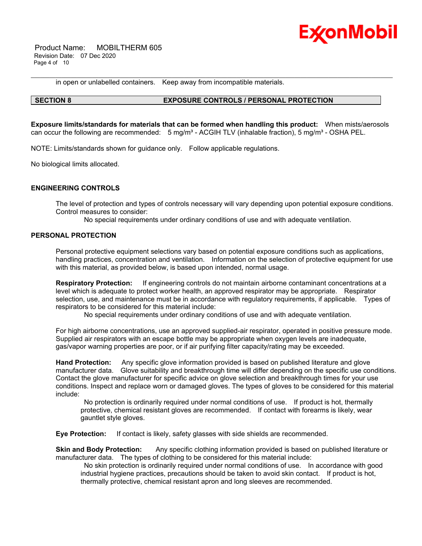

 Product Name: MOBILTHERM 605 Revision Date: 07 Dec 2020 Page 4 of 10

in open or unlabelled containers. Keep away from incompatible materials.

### **SECTION 8 EXPOSURE CONTROLS / PERSONAL PROTECTION**

**Exposure limits/standards for materials that can be formed when handling this product:** When mists/aerosols can occur the following are recommended:  $5 \text{ mg/m}^3$  - ACGIH TLV (inhalable fraction),  $5 \text{ mg/m}^3$  - OSHA PEL.

\_\_\_\_\_\_\_\_\_\_\_\_\_\_\_\_\_\_\_\_\_\_\_\_\_\_\_\_\_\_\_\_\_\_\_\_\_\_\_\_\_\_\_\_\_\_\_\_\_\_\_\_\_\_\_\_\_\_\_\_\_\_\_\_\_\_\_\_\_\_\_\_\_\_\_\_\_\_\_\_\_\_\_\_\_\_\_\_\_\_\_\_\_\_\_\_\_\_\_\_\_\_\_\_\_\_\_\_\_\_\_\_\_\_\_\_\_\_

NOTE: Limits/standards shown for guidance only. Follow applicable regulations.

No biological limits allocated.

#### **ENGINEERING CONTROLS**

The level of protection and types of controls necessary will vary depending upon potential exposure conditions. Control measures to consider:

No special requirements under ordinary conditions of use and with adequate ventilation.

#### **PERSONAL PROTECTION**

Personal protective equipment selections vary based on potential exposure conditions such as applications, handling practices, concentration and ventilation. Information on the selection of protective equipment for use with this material, as provided below, is based upon intended, normal usage.

**Respiratory Protection:** If engineering controls do not maintain airborne contaminant concentrations at a level which is adequate to protect worker health, an approved respirator may be appropriate. Respirator selection, use, and maintenance must be in accordance with regulatory requirements, if applicable. Types of respirators to be considered for this material include:

No special requirements under ordinary conditions of use and with adequate ventilation.

For high airborne concentrations, use an approved supplied-air respirator, operated in positive pressure mode. Supplied air respirators with an escape bottle may be appropriate when oxygen levels are inadequate, gas/vapor warning properties are poor, or if air purifying filter capacity/rating may be exceeded.

**Hand Protection:** Any specific glove information provided is based on published literature and glove manufacturer data. Glove suitability and breakthrough time will differ depending on the specific use conditions. Contact the glove manufacturer for specific advice on glove selection and breakthrough times for your use conditions. Inspect and replace worn or damaged gloves. The types of gloves to be considered for this material include:

 No protection is ordinarily required under normal conditions of use. If product is hot, thermally protective, chemical resistant gloves are recommended. If contact with forearms is likely, wear gauntlet style gloves.

**Eye Protection:** If contact is likely, safety glasses with side shields are recommended.

**Skin and Body Protection:** Any specific clothing information provided is based on published literature or manufacturer data. The types of clothing to be considered for this material include:

 No skin protection is ordinarily required under normal conditions of use. In accordance with good industrial hygiene practices, precautions should be taken to avoid skin contact. If product is hot, thermally protective, chemical resistant apron and long sleeves are recommended.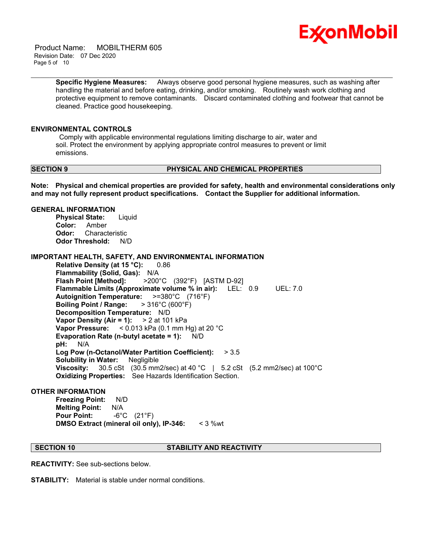

 Product Name: MOBILTHERM 605 Revision Date: 07 Dec 2020 Page 5 of 10

> **Specific Hygiene Measures:** Always observe good personal hygiene measures, such as washing after handling the material and before eating, drinking, and/or smoking. Routinely wash work clothing and protective equipment to remove contaminants. Discard contaminated clothing and footwear that cannot be cleaned. Practice good housekeeping.

\_\_\_\_\_\_\_\_\_\_\_\_\_\_\_\_\_\_\_\_\_\_\_\_\_\_\_\_\_\_\_\_\_\_\_\_\_\_\_\_\_\_\_\_\_\_\_\_\_\_\_\_\_\_\_\_\_\_\_\_\_\_\_\_\_\_\_\_\_\_\_\_\_\_\_\_\_\_\_\_\_\_\_\_\_\_\_\_\_\_\_\_\_\_\_\_\_\_\_\_\_\_\_\_\_\_\_\_\_\_\_\_\_\_\_\_\_\_

#### **ENVIRONMENTAL CONTROLS**

 Comply with applicable environmental regulations limiting discharge to air, water and soil. Protect the environment by applying appropriate control measures to prevent or limit emissions.

#### **SECTION 9 PHYSICAL AND CHEMICAL PROPERTIES**

**Note: Physical and chemical properties are provided for safety, health and environmental considerations only and may not fully represent product specifications. Contact the Supplier for additional information.**

#### **GENERAL INFORMATION**

**Physical State:** Liquid **Color:** Amber **Odor:** Characteristic **Odor Threshold:** N/D

#### **IMPORTANT HEALTH, SAFETY, AND ENVIRONMENTAL INFORMATION**

**Relative Density (at 15 °C):** 0.86 **Flammability (Solid, Gas):** N/A **Flash Point [Method]:** >200°C (392°F) [ASTM D-92] **Flammable Limits (Approximate volume % in air):** LEL: 0.9 UEL: 7.0 **Autoignition Temperature:** >=380°C (716°F) **Boiling Point / Range:** > 316°C (600°F) **Decomposition Temperature:** N/D **Vapor Density (Air = 1):** > 2 at 101 kPa **Vapor Pressure:** < 0.013 kPa (0.1 mm Hg) at 20 °C **Evaporation Rate (n-butyl acetate = 1):** N/D **pH:** N/A **Log Pow (n-Octanol/Water Partition Coefficient):** > 3.5 **Solubility in Water:** Negligible **Viscosity:** 30.5 cSt (30.5 mm2/sec) at 40 °C | 5.2 cSt (5.2 mm2/sec) at 100°C **Oxidizing Properties:** See Hazards Identification Section.

#### **OTHER INFORMATION**

**Freezing Point:** N/D **Melting Point:** N/A **Pour Point:** -6°C (21°F) **DMSO Extract (mineral oil only), IP-346:** < 3 %wt

#### **SECTION 10 STABILITY AND REACTIVITY**

**REACTIVITY:** See sub-sections below.

**STABILITY:** Material is stable under normal conditions.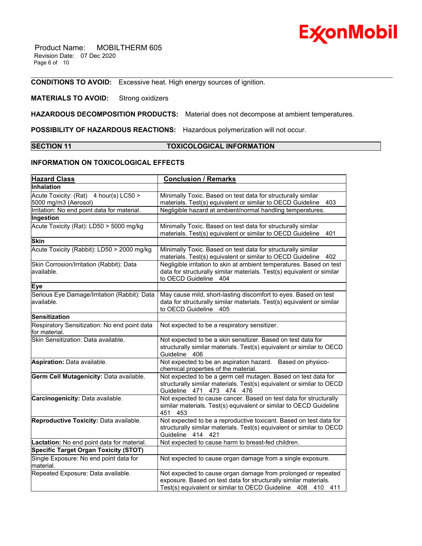

 Product Name: MOBILTHERM 605 Revision Date: 07 Dec 2020 Page 6 of 10

**CONDITIONS TO AVOID:** Excessive heat. High energy sources of ignition.

### **MATERIALS TO AVOID:** Strong oxidizers

**HAZARDOUS DECOMPOSITION PRODUCTS:** Material does not decompose at ambient temperatures.

**POSSIBILITY OF HAZARDOUS REACTIONS:** Hazardous polymerization will not occur.

### **SECTION 11 TOXICOLOGICAL INFORMATION**

\_\_\_\_\_\_\_\_\_\_\_\_\_\_\_\_\_\_\_\_\_\_\_\_\_\_\_\_\_\_\_\_\_\_\_\_\_\_\_\_\_\_\_\_\_\_\_\_\_\_\_\_\_\_\_\_\_\_\_\_\_\_\_\_\_\_\_\_\_\_\_\_\_\_\_\_\_\_\_\_\_\_\_\_\_\_\_\_\_\_\_\_\_\_\_\_\_\_\_\_\_\_\_\_\_\_\_\_\_\_\_\_\_\_\_\_\_\_

### **INFORMATION ON TOXICOLOGICAL EFFECTS**

| <b>Hazard Class</b>                                            | <b>Conclusion / Remarks</b>                                                                                                                                                                      |
|----------------------------------------------------------------|--------------------------------------------------------------------------------------------------------------------------------------------------------------------------------------------------|
| <b>Inhalation</b>                                              |                                                                                                                                                                                                  |
| Acute Toxicity: (Rat) 4 hour(s) LC50 ><br>5000 mg/m3 (Aerosol) | Minimally Toxic. Based on test data for structurally similar<br>materials. Test(s) equivalent or similar to OECD Guideline<br>403                                                                |
| Irritation: No end point data for material.                    | Negligible hazard at ambient/normal handling temperatures.                                                                                                                                       |
| Ingestion                                                      |                                                                                                                                                                                                  |
| Acute Toxicity (Rat): LD50 > 5000 mg/kg                        | Minimally Toxic. Based on test data for structurally similar<br>materials. Test(s) equivalent or similar to OECD Guideline<br>401                                                                |
| <b>Skin</b>                                                    |                                                                                                                                                                                                  |
| Acute Toxicity (Rabbit): LD50 > 2000 mg/kg                     | Minimally Toxic. Based on test data for structurally similar<br>materials. Test(s) equivalent or similar to OECD Guideline<br>402                                                                |
| Skin Corrosion/Irritation (Rabbit): Data<br>available.         | Negligible irritation to skin at ambient temperatures. Based on test<br>data for structurally similar materials. Test(s) equivalent or similar<br>to OECD Guideline 404                          |
| <b>Eye</b>                                                     |                                                                                                                                                                                                  |
| Serious Eye Damage/Irritation (Rabbit): Data<br>available.     | May cause mild, short-lasting discomfort to eyes. Based on test<br>data for structurally similar materials. Test(s) equivalent or similar<br>to OECD Guideline<br>405                            |
| <b>Sensitization</b>                                           |                                                                                                                                                                                                  |
| Respiratory Sensitization: No end point data<br>for material.  | Not expected to be a respiratory sensitizer.                                                                                                                                                     |
| Skin Sensitization: Data available.                            | Not expected to be a skin sensitizer. Based on test data for<br>structurally similar materials. Test(s) equivalent or similar to OECD<br>Guideline 406                                           |
| Aspiration: Data available.                                    | Not expected to be an aspiration hazard. Based on physico-<br>chemical properties of the material.                                                                                               |
| Germ Cell Mutagenicity: Data available.                        | Not expected to be a germ cell mutagen. Based on test data for<br>structurally similar materials. Test(s) equivalent or similar to OECD<br>Guideline 471 473 474 476                             |
| Carcinogenicity: Data available.                               | Not expected to cause cancer. Based on test data for structurally<br>similar materials. Test(s) equivalent or similar to OECD Guideline<br>451<br>453                                            |
| Reproductive Toxicity: Data available.                         | Not expected to be a reproductive toxicant. Based on test data for<br>structurally similar materials. Test(s) equivalent or similar to OECD<br>Guideline 414 421                                 |
| Lactation: No end point data for material.                     | Not expected to cause harm to breast-fed children.                                                                                                                                               |
| <b>Specific Target Organ Toxicity (STOT)</b>                   |                                                                                                                                                                                                  |
| Single Exposure: No end point data for<br>material.            | Not expected to cause organ damage from a single exposure.                                                                                                                                       |
| Repeated Exposure: Data available.                             | Not expected to cause organ damage from prolonged or repeated<br>exposure. Based on test data for structurally similar materials.<br>Test(s) equivalent or similar to OECD Guideline 408 410 411 |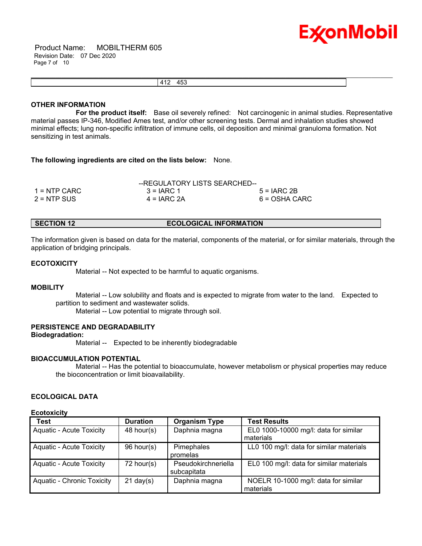

| .<br>. |  |
|--------|--|
|        |  |

#### **OTHER INFORMATION**

 **For the product itself:** Base oil severely refined: Not carcinogenic in animal studies. Representative material passes IP-346, Modified Ames test, and/or other screening tests. Dermal and inhalation studies showed minimal effects; lung non-specific infiltration of immune cells, oil deposition and minimal granuloma formation. Not sensitizing in test animals.

**The following ingredients are cited on the lists below:** None.

|                | --REGULATORY LISTS SEARCHED-- |               |
|----------------|-------------------------------|---------------|
| $1 =$ NTP CARC | $3 = IARC 1$                  | $5 = IARC2B$  |
| $2 =$ NTP SUS  | $4 = IARC 2A$                 | 6 = OSHA CARC |

**SECTION 12 ECOLOGICAL INFORMATION** 

The information given is based on data for the material, components of the material, or for similar materials, through the application of bridging principals.

#### **ECOTOXICITY**

Material -- Not expected to be harmful to aquatic organisms.

#### **MOBILITY**

 Material -- Low solubility and floats and is expected to migrate from water to the land. Expected to partition to sediment and wastewater solids.

Material -- Low potential to migrate through soil.

#### **PERSISTENCE AND DEGRADABILITY**

**Biodegradation:**

Material -- Expected to be inherently biodegradable

#### **BIOACCUMULATION POTENTIAL**

 Material -- Has the potential to bioaccumulate, however metabolism or physical properties may reduce the bioconcentration or limit bioavailability.

#### **ECOLOGICAL DATA**

#### **Ecotoxicity**

| <b>Test</b>                       | <b>Duration</b>     | <b>Organism Type</b>               | <b>Test Results</b>                                |
|-----------------------------------|---------------------|------------------------------------|----------------------------------------------------|
| <b>Aquatic - Acute Toxicity</b>   | 48 hour( $s$ )      | Daphnia magna                      | EL0 1000-10000 mg/l: data for similar<br>materials |
| <b>Aquatic - Acute Toxicity</b>   | 96 hour(s)          | Pimephales<br>promelas             | LL0 100 mg/l: data for similar materials           |
| <b>Aquatic - Acute Toxicity</b>   | $72$ hour(s)        | Pseudokirchneriella<br>subcapitata | EL0 100 mg/l: data for similar materials           |
| <b>Aquatic - Chronic Toxicity</b> | $21 \text{ day}(s)$ | Daphnia magna                      | NOELR 10-1000 mg/l: data for similar<br>materials  |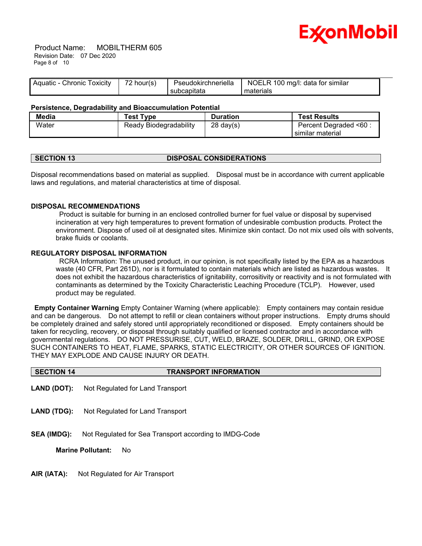

 Product Name: MOBILTHERM 605 Revision Date: 07 Dec 2020 Page 8 of 10

| Aquatic - Chronic Toxicity | 72 hour(s) | Pseudokirchneriella | NOELR 100 mg/l: data for similar |
|----------------------------|------------|---------------------|----------------------------------|
|                            |            | subcapitata         | materials                        |

#### **Persistence, Degradability and Bioaccumulation Potential**

| Media | <b>Test Type</b>       | <b>Duration</b>     | <b>Test Results</b>    |
|-------|------------------------|---------------------|------------------------|
| Water | Ready Biodegradability | $28 \text{ day}(s)$ | Percent Degraded <60 : |
|       |                        |                     | similar material       |

### **SECTION 13 DISPOSAL CONSIDERATIONS**

Disposal recommendations based on material as supplied. Disposal must be in accordance with current applicable laws and regulations, and material characteristics at time of disposal.

#### **DISPOSAL RECOMMENDATIONS**

 Product is suitable for burning in an enclosed controlled burner for fuel value or disposal by supervised incineration at very high temperatures to prevent formation of undesirable combustion products. Protect the environment. Dispose of used oil at designated sites. Minimize skin contact. Do not mix used oils with solvents, brake fluids or coolants.

#### **REGULATORY DISPOSAL INFORMATION**

 RCRA Information: The unused product, in our opinion, is not specifically listed by the EPA as a hazardous waste (40 CFR, Part 261D), nor is it formulated to contain materials which are listed as hazardous wastes. It does not exhibit the hazardous characteristics of ignitability, corrositivity or reactivity and is not formulated with contaminants as determined by the Toxicity Characteristic Leaching Procedure (TCLP). However, used product may be regulated.

**Empty Container Warning** Empty Container Warning (where applicable): Empty containers may contain residue and can be dangerous. Do not attempt to refill or clean containers without proper instructions. Empty drums should be completely drained and safely stored until appropriately reconditioned or disposed. Empty containers should be taken for recycling, recovery, or disposal through suitably qualified or licensed contractor and in accordance with governmental regulations. DO NOT PRESSURISE, CUT, WELD, BRAZE, SOLDER, DRILL, GRIND, OR EXPOSE SUCH CONTAINERS TO HEAT, FLAME, SPARKS, STATIC ELECTRICITY, OR OTHER SOURCES OF IGNITION. THEY MAY EXPLODE AND CAUSE INJURY OR DEATH.

|--|

- **LAND (DOT):** Not Regulated for Land Transport
- **LAND (TDG):** Not Regulated for Land Transport
- **SEA (IMDG):** Not Regulated for Sea Transport according to IMDG-Code

**Marine Pollutant:** No

**AIR (IATA):** Not Regulated for Air Transport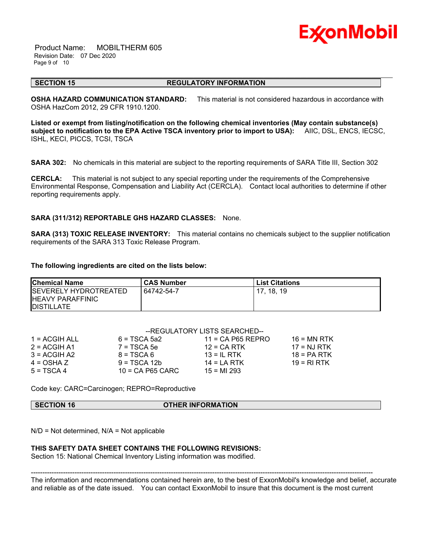

 Product Name: MOBILTHERM 605 Revision Date: 07 Dec 2020 Page 9 of 10

#### \_\_\_\_\_\_\_\_\_\_\_\_\_\_\_\_\_\_\_\_\_\_\_\_\_\_\_\_\_\_\_\_\_\_\_\_\_\_\_\_\_\_\_\_\_\_\_\_\_\_\_\_\_\_\_\_\_\_\_\_\_\_\_\_\_\_\_\_\_\_\_\_\_\_\_\_\_\_\_\_\_\_\_\_\_\_\_\_\_\_\_\_\_\_\_\_\_\_\_\_\_\_\_\_\_\_\_\_\_\_\_\_\_\_\_\_\_\_ **SECTION 15 REGULATORY INFORMATION**

**OSHA HAZARD COMMUNICATION STANDARD:** This material is not considered hazardous in accordance with OSHA HazCom 2012, 29 CFR 1910.1200.

**Listed or exempt from listing/notification on the following chemical inventories (May contain substance(s) subject to notification to the EPA Active TSCA inventory prior to import to USA):** AIIC, DSL, ENCS, IECSC, ISHL, KECI, PICCS, TCSI, TSCA

**SARA 302:** No chemicals in this material are subject to the reporting requirements of SARA Title III, Section 302

**CERCLA:** This material is not subject to any special reporting under the requirements of the Comprehensive Environmental Response, Compensation and Liability Act (CERCLA). Contact local authorities to determine if other reporting requirements apply.

#### **SARA (311/312) REPORTABLE GHS HAZARD CLASSES:** None.

**SARA (313) TOXIC RELEASE INVENTORY:** This material contains no chemicals subject to the supplier notification requirements of the SARA 313 Toxic Release Program.

#### **The following ingredients are cited on the lists below:**

| <b>Chemical Name</b>          | <b>CAS Number</b> | <b>List Citations</b> |
|-------------------------------|-------------------|-----------------------|
| <b>ISEVERELY HYDROTREATED</b> | 64742-54-7        | 17.18.19              |
| <b>HEAVY PARAFFINIC</b>       |                   |                       |
| <b>IDISTILLATE</b>            |                   |                       |

|                 |                    | --REGULATORY LISTS SEARCHED-- |               |
|-----------------|--------------------|-------------------------------|---------------|
| $1 = ACGIH ALL$ | $6 = TSCA 5a2$     | $11 = CA$ P65 REPRO           | $16 = MN$ RTK |
| $2 = ACGIH A1$  | $7 = TSCA5e$       | $12 = CA$ RTK                 | $17 = NJ RTK$ |
| $3 = ACGIH A2$  | $8 = TSCA6$        | $13 = IL$ RTK                 | $18 = PA RTK$ |
| $4 = OSHA Z$    | $9 = TSCA 12b$     | $14 = LA RTK$                 | 19 = RI RTK   |
| $5 = TSCA4$     | $10 = CA$ P65 CARC | 15 = MI 293                   |               |

Code key: CARC=Carcinogen; REPRO=Reproductive

**SECTION 16 OTHER INFORMATION**

 $N/D$  = Not determined,  $N/A$  = Not applicable

#### **THIS SAFETY DATA SHEET CONTAINS THE FOLLOWING REVISIONS:**

Section 15: National Chemical Inventory Listing information was modified.

The information and recommendations contained herein are, to the best of ExxonMobil's knowledge and belief, accurate and reliable as of the date issued. You can contact ExxonMobil to insure that this document is the most current

-----------------------------------------------------------------------------------------------------------------------------------------------------